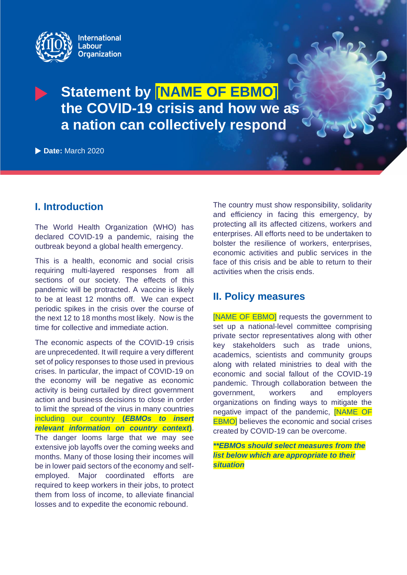

# **Statement by [NAME OF EBMO] the COVID-19 crisis and how we as a nation can collectively respond**

**Date:** March 2020

# **I. Introduction**

The World Health Organization (WHO) has declared COVID-19 a pandemic, raising the outbreak beyond a global health emergency.

This is a health, economic and social crisis requiring multi-layered responses from all sections of our society. The effects of this pandemic will be protracted. A vaccine is likely to be at least 12 months off. We can expect periodic spikes in the crisis over the course of the next 12 to 18 months most likely. Now is the time for collective and immediate action.

The economic aspects of the COVID-19 crisis are unprecedented. It will require a very different set of policy responses to those used in previous crises. In particular, the impact of COVID-19 on the economy will be negative as economic activity is being curtailed by direct government action and business decisions to close in order to limit the spread of the virus in many countries including our country **(***EBMOs to insert relevant information on country context***)**. The danger looms large that we may see extensive job layoffs over the coming weeks and months. Many of those losing their incomes will be in lower paid sectors of the economy and selfemployed. Major coordinated efforts are required to keep workers in their jobs, to protect them from loss of income, to alleviate financial losses and to expedite the economic rebound.

The country must show responsibility, solidarity and efficiency in facing this emergency, by protecting all its affected citizens, workers and enterprises. All efforts need to be undertaken to bolster the resilience of workers, enterprises, economic activities and public services in the face of this crisis and be able to return to their activities when the crisis ends.

# **II. Policy measures**

[NAME OF EBMO] requests the government to set up a national-level committee comprising private sector representatives along with other key stakeholders such as trade unions, academics, scientists and community groups along with related ministries to deal with the economic and social fallout of the COVID-19 pandemic. Through collaboration between the government, workers and employers organizations on finding ways to mitigate the negative impact of the pandemic, [NAME OF **EBMO** believes the economic and social crises created by COVID-19 can be overcome.

*\*\*EBMOs should select measures from the list below which are appropriate to their situation*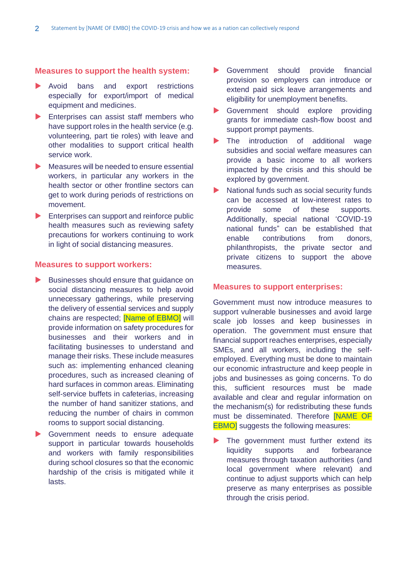## **Measures to support the health system:**

- Avoid bans and export restrictions especially for export/import of medical equipment and medicines.
- **Enterprises can assist staff members who** have support roles in the health service (e.g. volunteering, part tie roles) with leave and other modalities to support critical health service work.
- Measures will be needed to ensure essential workers, in particular any workers in the health sector or other frontline sectors can get to work during periods of restrictions on movement.
- Enterprises can support and reinforce public health measures such as reviewing safety precautions for workers continuing to work in light of social distancing measures.

## **Measures to support workers:**

- Businesses should ensure that guidance on social distancing measures to help avoid unnecessary gatherings, while preserving the delivery of essential services and supply chains are respected; [Name of EBMO] will provide information on safety procedures for businesses and their workers and in facilitating businesses to understand and manage their risks. These include measures such as: implementing enhanced cleaning procedures, such as increased cleaning of hard surfaces in common areas. Eliminating self-service buffets in cafeterias, increasing the number of hand sanitizer stations, and reducing the number of chairs in common rooms to support social distancing.
- Government needs to ensure adequate support in particular towards households and workers with family responsibilities during school closures so that the economic hardship of the crisis is mitigated while it lasts.
- Government should provide financial provision so employers can introduce or extend paid sick leave arrangements and eligibility for unemployment benefits.
- Government should explore providing grants for immediate cash-flow boost and support prompt payments.
- The introduction of additional wage subsidies and social welfare measures can provide a basic income to all workers impacted by the crisis and this should be explored by government.
- National funds such as social security funds can be accessed at low-interest rates to provide some of these supports. Additionally, special national 'COVID-19 national funds" can be established that enable contributions from donors, philanthropists, the private sector and private citizens to support the above measures.

## **Measures to support enterprises:**

Government must now introduce measures to support vulnerable businesses and avoid large scale job losses and keep businesses in operation. The government must ensure that financial support reaches enterprises, especially SMEs, and all workers, including the selfemployed. Everything must be done to maintain our economic infrastructure and keep people in jobs and businesses as going concerns. To do this, sufficient resources must be made available and clear and regular information on the mechanism(s) for redistributing these funds must be disseminated. Therefore [NAME OF **EBMO**] suggests the following measures:

The government must further extend its liquidity supports and forbearance measures through taxation authorities (and local government where relevant) and continue to adjust supports which can help preserve as many enterprises as possible through the crisis period.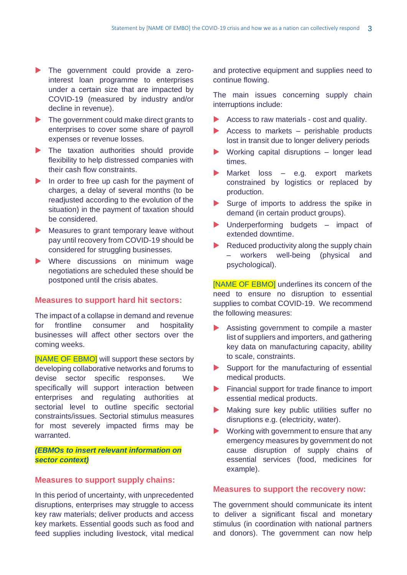- The government could provide a zerointerest loan programme to enterprises under a certain size that are impacted by COVID-19 (measured by industry and/or decline in revenue).
- The government could make direct grants to enterprises to cover some share of payroll expenses or revenue losses.
- The taxation authorities should provide flexibility to help distressed companies with their cash flow constraints.
- In order to free up cash for the payment of charges, a delay of several months (to be readjusted according to the evolution of the situation) in the payment of taxation should be considered.
- Measures to grant temporary leave without pay until recovery from COVID-19 should be considered for struggling businesses.
- **Number Where** discussions on minimum wage negotiations are scheduled these should be postponed until the crisis abates.

## **Measures to support hard hit sectors:**

The impact of a collapse in demand and revenue for frontline consumer and hospitality businesses will affect other sectors over the coming weeks.

[NAME OF EBMO] will support these sectors by developing collaborative networks and forums to devise sector specific responses. We specifically will support interaction between enterprises and regulating authorities at sectorial level to outline specific sectorial constraints/issues. Sectorial stimulus measures for most severely impacted firms may be warranted.

# *(EBMOs to insert relevant information on sector context)*

## **Measures to support supply chains:**

In this period of uncertainty, with unprecedented disruptions, enterprises may struggle to access key raw materials; deliver products and access key markets. Essential goods such as food and feed supplies including livestock, vital medical

and protective equipment and supplies need to continue flowing.

The main issues concerning supply chain interruptions include:

- Access to raw materials cost and quality.
- Access to markets  $-$  perishable products lost in transit due to longer delivery periods
- Working capital disruptions longer lead times.
- Market loss e.g. export markets constrained by logistics or replaced by production.
- Surge of imports to address the spike in demand (in certain product groups).
- Underperforming budgets impact of extended downtime.
- $\blacktriangleright$  Reduced productivity along the supply chain workers well-being (physical and psychological).

[NAME OF EBMO] underlines its concern of the need to ensure no disruption to essential supplies to combat COVID-19. We recommend the following measures:

- Assisting government to compile a master list of suppliers and importers, and gathering key data on manufacturing capacity, ability to scale, constraints.
- Support for the manufacturing of essential medical products.
- Financial support for trade finance to import essential medical products.
- Making sure key public utilities suffer no disruptions e.g. (electricity, water).
- Working with government to ensure that any emergency measures by government do not cause disruption of supply chains of essential services (food, medicines for example).

## **Measures to support the recovery now:**

The government should communicate its intent to deliver a significant fiscal and monetary stimulus (in coordination with national partners and donors). The government can now help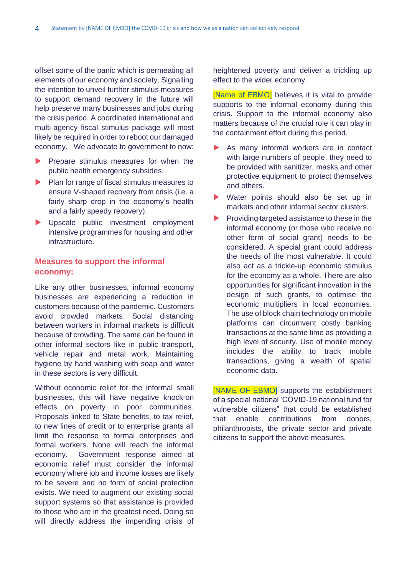offset some of the panic which is permeating all elements of our economy and society. Signalling the intention to unveil further stimulus measures to support demand recovery in the future will help preserve many businesses and jobs during the crisis period. A coordinated international and multi-agency fiscal stimulus package will most likely be required in order to reboot our damaged economy. We advocate to government to now:

- **Prepare stimulus measures for when the** public health emergency subsides.
- Plan for range of fiscal stimulus measures to ensure V-shaped recovery from crisis (i.e. a fairly sharp drop in the economy's health and a fairly speedy recovery).
- Descale public investment employment intensive programmes for housing and other infrastructure.

# **Measures to support the informal economy:**

Like any other businesses, informal economy businesses are experiencing a reduction in customers because of the pandemic. Customers avoid crowded markets. Social distancing between workers in informal markets is difficult because of crowding. The same can be found in other informal sectors like in public transport, vehicle repair and metal work. Maintaining hygiene by hand washing with soap and water in these sectors is very difficult.

Without economic relief for the informal small businesses, this will have negative knock-on effects on poverty in poor communities. Proposals linked to State benefits, to tax relief, to new lines of credit or to enterprise grants all limit the response to formal enterprises and formal workers. None will reach the informal economy. Government response aimed at economic relief must consider the informal economy where job and income losses are likely to be severe and no form of social protection exists. We need to augment our existing social support systems so that assistance is provided to those who are in the greatest need. Doing so will directly address the impending crisis of heightened poverty and deliver a trickling up effect to the wider economy.

[Name of EBMO] believes it is vital to provide supports to the informal economy during this crisis. Support to the informal economy also matters because of the crucial role it can play in the containment effort during this period.

- As many informal workers are in contact with large numbers of people, they need to be provided with sanitizer, masks and other protective equipment to protect themselves and others.
- Water points should also be set up in markets and other informal sector clusters.
- $\blacktriangleright$  Providing targeted assistance to these in the informal economy (or those who receive no other form of social grant) needs to be considered. A special grant could address the needs of the most vulnerable. It could also act as a trickle-up economic stimulus for the economy as a whole. There are also opportunities for significant innovation in the design of such grants, to optimise the economic multipliers in local economies. The use of block chain technology on mobile platforms can circumvent costly banking transactions at the same time as providing a high level of security. Use of mobile money includes the ability to track mobile transactions, giving a wealth of spatial economic data.

[NAME OF EBMO] supports the establishment of a special national 'COVID-19 national fund for vulnerable citizens" that could be established that enable contributions from donors, philanthropists, the private sector and private citizens to support the above measures.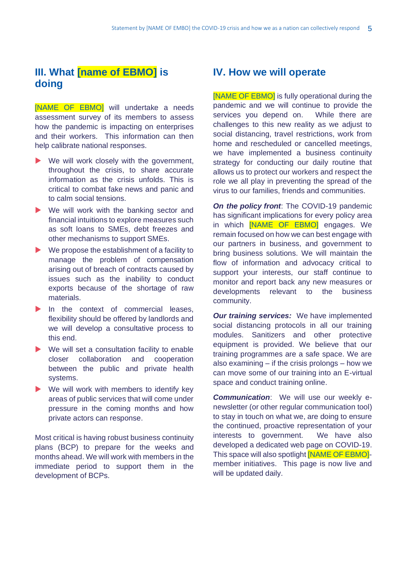# **III. What [name of EBMO] is doing**

[NAME OF EBMO] will undertake a needs assessment survey of its members to assess how the pandemic is impacting on enterprises and their workers. This information can then help calibrate national responses.

- We will work closely with the government, throughout the crisis, to share accurate information as the crisis unfolds. This is critical to combat fake news and panic and to calm social tensions.
- We will work with the banking sector and financial intuitions to explore measures such as soft loans to SMEs, debt freezes and other mechanisms to support SMEs.
- $\blacktriangleright$  We propose the establishment of a facility to manage the problem of compensation arising out of breach of contracts caused by issues such as the inability to conduct exports because of the shortage of raw materials.
- $\blacktriangleright$  In the context of commercial leases, flexibility should be offered by landlords and we will develop a consultative process to this end.
- ▶ We will set a consultation facility to enable closer collaboration and cooperation between the public and private health systems.
- $\blacktriangleright$  We will work with members to identify key areas of public services that will come under pressure in the coming months and how private actors can response.

Most critical is having robust business continuity plans (BCP) to prepare for the weeks and months ahead. We will work with members in the immediate period to support them in the development of BCPs.

# **IV. How we will operate**

[NAME OF EBMO] is fully operational during the pandemic and we will continue to provide the services you depend on. While there are challenges to this new reality as we adjust to social distancing, travel restrictions, work from home and rescheduled or cancelled meetings, we have implemented a business continuity strategy for conducting our daily routine that allows us to protect our workers and respect the role we all play in preventing the spread of the virus to our families, friends and communities.

*On the policy front*: The COVID-19 pandemic has significant implications for every policy area in which **NAME OF EBMO** engages. We remain focused on how we can best engage with our partners in business, and government to bring business solutions. We will maintain the flow of information and advocacy critical to support your interests, our staff continue to monitor and report back any new measures or developments relevant to the business community.

*Our training services:* We have implemented social distancing protocols in all our training modules. Sanitizers and other protective equipment is provided. We believe that our training programmes are a safe space. We are also examining – if the crisis prolongs – how we can move some of our training into an E-virtual space and conduct training online.

*Communication*: We will use our weekly enewsletter (or other regular communication tool) to stay in touch on what we, are doing to ensure the continued, proactive representation of your interests to government. We have also developed a dedicated web page on COVID-19. This space will also spotlight [NAME OF EBMO] member initiatives. This page is now live and will be updated daily.